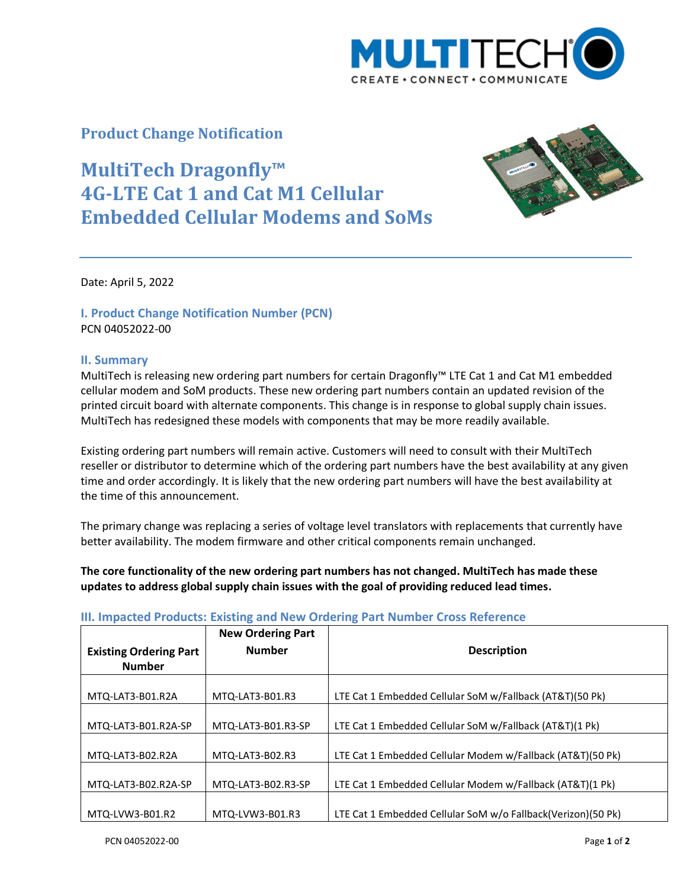

# **Product Change Notification**

# **MultiTech Dragonfly™ 4G-LTE Cat 1 and Cat M1 Cellular Embedded Cellular Modems and SoMs**



Date: April 5, 2022

## **I. Product Change Notification Number (PCN)** PCN 04052022-00

#### **II. Summary**

MultiTech is releasing new ordering part numbers for certain Dragonfly™ LTE Cat 1 and Cat M1 embedded cellular modem and SoM products. These new ordering part numbers contain an updated revision of the printed circuit board with alternate components. This change is in response to global supply chain issues. MultiTech has redesigned these models with components that may be more readily available.

Existing ordering part numbers will remain active. Customers will need to consult with their MultiTech reseller or distributor to determine which of the ordering part numbers have the best availability at any given time and order accordingly. It is likely that the new ordering part numbers will have the best availability at the time of this announcement.

The primary change was replacing a series of voltage level translators with replacements that currently have better availability. The modem firmware and other critical components remain unchanged.

### **The core functionality of the new ordering part numbers has not changed. MultiTech has made these updates to address global supply chain issues with the goal of providing reduced lead times.**

|                                                | <b>New Ordering Part</b> |                                                              |
|------------------------------------------------|--------------------------|--------------------------------------------------------------|
| <b>Existing Ordering Part</b><br><b>Number</b> | <b>Number</b>            | <b>Description</b>                                           |
| MTQ-LAT3-B01.R2A                               | MTQ-LAT3-B01.R3          | LTE Cat 1 Embedded Cellular SoM w/Fallback (AT&T)(50 Pk)     |
| MTQ-LAT3-B01.R2A-SP                            | MTQ-LAT3-B01.R3-SP       | LTE Cat 1 Embedded Cellular SoM w/Fallback (AT&T)(1 Pk)      |
| MTQ-LAT3-B02.R2A                               | MTQ-LAT3-B02.R3          | LTE Cat 1 Embedded Cellular Modem w/Fallback (AT&T)(50 Pk)   |
| MTQ-LAT3-B02.R2A-SP                            | MTQ-LAT3-B02.R3-SP       | LTE Cat 1 Embedded Cellular Modem w/Fallback (AT&T)(1 Pk)    |
| MTQ-LVW3-B01.R2                                | MTQ-LVW3-B01.R3          | LTE Cat 1 Embedded Cellular SoM w/o Fallback(Verizon)(50 Pk) |

#### **III. Impacted Products: Existing and New Ordering Part Number Cross Reference**